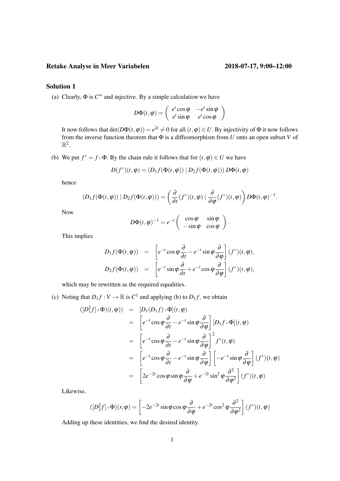## Retake Analyse in Meer Variabelen 2018-07-17, 9:00–12:00

# Solution 1

(a) Clearly,  $\Phi$  is  $C^{\infty}$  and injective. By a simple calculation we have

$$
D\Phi(t, \varphi) = \begin{pmatrix} e^t \cos \varphi & -e^t \sin \varphi \\ e^t \sin \varphi & e^t \cos \varphi \end{pmatrix}
$$

It now follows that  $det(D\Phi(t, \varphi)) = e^{2t} \neq 0$  for all  $(t, \varphi) \in U$ . By injectivity of  $\Phi$  it now follows from the inverse function theorem that Φ is a diffeomorphism from *U* onto an open subset *V* of  $\mathbb{R}^2$ .

(b) We put  $f^* = f \circ \Phi$ . By the chain rule it follows that for  $(t, \varphi) \in U$  we have

$$
D(f^*)(t, \varphi) = (D_1 f(\Phi(t, \varphi)) | D_2 f(\Phi(t, \varphi))) D\Phi(t, \varphi)
$$

hence

$$
(D_1 f(\Phi(t, \varphi)) | D_2 f(\Phi(t, \varphi))) = \left(\frac{\partial}{\partial t}(f^*)(t, \varphi) | \frac{\partial}{\partial \varphi}(f^*)(t, \varphi)\right) D \Phi(t, \varphi)^{-1}.
$$

Now

$$
D\Phi(t,\varphi)^{-1}=e^{-t}\left(\begin{array}{cc} \cos\varphi & \sin\varphi\\ -\sin\varphi & \cos\varphi \end{array}\right).
$$

This implies

$$
D_1 f(\Phi(t, \varphi)) = \left[ e^{-t} \cos \varphi \frac{\partial}{\partial t} - e^{-t} \sin \varphi \frac{\partial}{\partial \varphi} \right] (f^*)(t, \varphi),
$$
  

$$
D_2 f(\Phi(t, \varphi)) = \left[ e^{-t} \sin \varphi \frac{\partial}{\partial t} + e^{-t} \cos \varphi \frac{\partial}{\partial \varphi} \right] (f^*)(t, \varphi),
$$

which may be rewritten as the required equalities.

(c) Noting that  $D_1 f : V \to \mathbb{R}$  is  $C^1$  and applying (b) to  $D_1 f$ , we obtain

$$
\begin{array}{rcl}\n([D_1^2 f] \circ \Phi)(t, \varphi) & = & [D_1(D_1 f) \circ \Phi](t, \varphi) \\
& = & \left[ e^{-t} \cos \varphi \frac{\partial}{\partial t} - e^{-t} \sin \varphi \frac{\partial}{\partial \varphi} \right] [D_1 f \circ \Phi](t, \varphi) \\
& = & \left[ e^{-t} \cos \varphi \frac{\partial}{\partial t} - e^{-t} \sin \varphi \frac{\partial}{\partial \varphi} \right]^2 f^*(t, \varphi) \\
& = & \left[ e^{-t} \cos \varphi \frac{\partial}{\partial t} - e^{-t} \sin \varphi \frac{\partial}{\partial \varphi} \right] \left[ -e^{-t} \sin \varphi \frac{\partial}{\partial \varphi} \right] (f^*)(t, \varphi) \\
& = & \left[ 2e^{-2t} \cos \varphi \sin \varphi \frac{\partial}{\partial \varphi} + e^{-2t} \sin^2 \varphi \frac{\partial^2}{\partial \varphi^2} \right] (f^*)(t, \varphi)\n\end{array}
$$

Likewise,

$$
([D_2^2 f] \circ \Phi)(r, \varphi) = \left[ -2e^{-2t} \sin \varphi \cos \varphi \frac{\partial}{\partial \varphi} + e^{-2t} \cos^2 \varphi \frac{\partial^2}{\partial \varphi^2} \right] (f^*)(t, \varphi)
$$

Adding up these identities, we find the desired identity.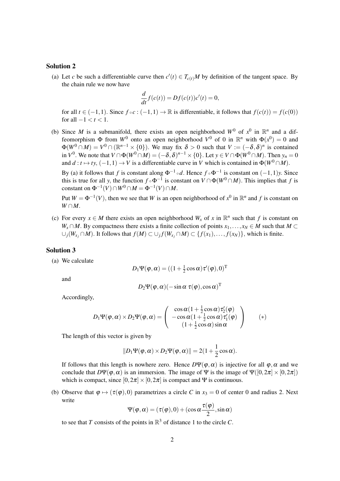### Solution 2

(a) Let *c* be such a differentiable curve then  $c'(t) \in T_{c(t)}M$  by definition of the tangent space. By the chain rule we now have

$$
\frac{d}{dt}f(c(t)) = Df(c(t))c'(t) = 0,
$$

for all  $t \in (-1,1)$ . Since  $f \circ c : (-1,1) \to \mathbb{R}$  is differentiable, it follows that  $f(c(t)) = f(c(0))$ for all  $-1 < t < 1$ .

(b) Since *M* is a submanifold, there exists an open neighborhood  $W^0$  of  $x^0$  in  $\mathbb{R}^n$  and a diffeomorphism  $\Phi$  from  $W^0$  onto an open neighborhood  $V^0$  of 0 in  $\mathbb{R}^n$  with  $\Phi(x^0) = 0$  and  $\Phi(W^0 \cap M) = V^0 \cap (\mathbb{R}^{n-1} \times \{0\})$ . We may fix  $\delta > 0$  such that  $V := (-\delta, \delta)^n$  is contained in  $V^0$ . We note that  $V \cap \Phi(W^0 \cap M) = (-\delta, \delta)^{n-1} \times \{0\}$ . Let  $y \in V \cap \Phi(W^0 \cap M)$ . Then  $y_n = 0$ and  $d: t \mapsto ty$ ,  $(-1,1) \to V$  is a differentiable curve in *V* which is contained in  $\Phi(W^0 \cap M)$ .

By (a) it follows that *f* is constant along  $\Phi^{-1} \circ d$ . Hence  $f \circ \Phi^{-1}$  is constant on  $(-1,1)y$ . Since this is true for all *y*, the function  $f \circ \Phi^{-1}$  is constant on  $V \cap \Phi(W^0 \cap M)$ . This implies that *f* is constant on  $\Phi^{-1}(V) \cap W^0 \cap M = \Phi^{-1}(V) \cap M$ .

Put  $W = \Phi^{-1}(V)$ , then we see that *W* is an open neighborhood of  $x^0$  in  $\mathbb{R}^n$  and *f* is constant on  $W \cap M$ .

(c) For every  $x \in M$  there exists an open neighborhood  $W_x$  of x in  $\mathbb{R}^n$  such that f is constant on *W*<sub>*x*</sub> ∩ *M*. By compactness there exists a finite collection of points  $x_1, \ldots, x_N$  ∈ *M* such that  $M \subset \mathbb{R}$ ∪ $_j(W_{x_j} \cap M)$ . It follows that  $f(M) \subset \bigcup_j f(W_{x_j} \cap M) \subset \{f(x_1), \ldots, f(x_N)\}\)$ , which is finite.

#### Solution 3

(a) We calculate

$$
D_1 \Psi(\pmb{\varphi}, \pmb{\alpha}) = ((1 + \tfrac{1}{2} \cos \pmb{\alpha}) \pmb{\tau}'(\pmb{\varphi}), 0)^{\text{T}}
$$

and

$$
D_2\Psi(\varphi,\alpha)(-\sin\alpha\,\,\tau(\varphi),\cos\alpha)^T
$$

Accordingly,

$$
D_1\Psi(\varphi,\alpha)\times D_2\Psi(\varphi,\alpha)=\left(\begin{array}{c} \cos\alpha(1+\frac{1}{2}\cos\alpha)\tau'_2(\varphi)\\ -\cos\alpha(1+\frac{1}{2}\cos\alpha)\tau'_1(\varphi)\\ (1+\frac{1}{2}\cos\alpha)\sin\alpha\end{array}\right)\qquad (*)
$$

The length of this vector is given by

$$
||D_1 \Psi(\varphi, \alpha) \times D_2 \Psi(\varphi, \alpha)|| = 2(1 + \frac{1}{2}\cos \alpha).
$$

If follows that this length is nowhere zero. Hence  $D\Psi(\varphi, \alpha)$  is injective for all  $\varphi, \alpha$  and we conclude that  $D\Psi(\varphi, \alpha)$  is an immersion. The image of  $\Psi$  is the image of  $\Psi([0,2\pi] \times [0,2\pi])$ which is compact, since  $[0,2\pi] \times [0,2\pi]$  is compact and Ψ is continuous.

(b) Observe that  $\varphi \mapsto (\tau(\varphi),0)$  parametrizes a circle *C* in  $x_3 = 0$  of center 0 and radius 2. Next write

$$
\Psi(\varphi,\alpha) = (\tau(\varphi),0) + (\cos \alpha \frac{\tau(\varphi)}{2}, \sin \alpha)
$$

to see that *T* consists of the points in  $\mathbb{R}^3$  of distance 1 to the circle *C*.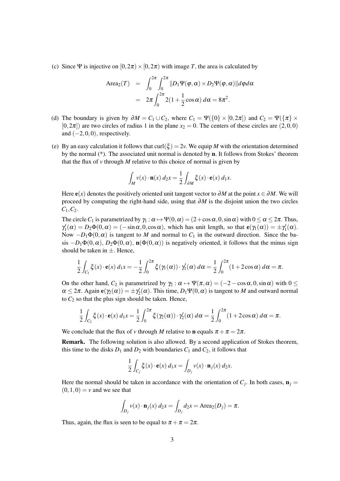(c) Since Ψ is injective on  $[0,2\pi) \times [0,2\pi)$  with image *T*, the area is calculated by

Area<sub>2</sub>(T) = 
$$
\int_0^{2\pi} \int_0^{2\pi} ||D_1 \Psi(\varphi, \alpha) \times D_2 \Psi(\varphi, \alpha)|| d\varphi d\alpha
$$
  
= 
$$
2\pi \int_0^{2\pi} 2(1 + \frac{1}{2} \cos \alpha) d\alpha = 8\pi^2.
$$

- (d) The boundary is given by  $\partial M = C_1 \cup C_2$ , where  $C_1 = \Psi({0} \times [0, 2\pi])$  and  $C_2 = \Psi({\pi} \times$  $[0,2\pi]$  are two circles of radius 1 in the plane  $x_2 = 0$ . The centers of these circles are  $(2,0,0)$ and  $(-2,0,0)$ , respectively.
- (e) By an easy calculation it follows that curl( $\xi$ ) = 2*v*. We equip *M* with the orientation determined by the normal (\*). The associated unit normal is denoted by n. It follows from Stokes' theorem that the flux of  $\nu$  through  $M$  relative to this choice of normal is given by

$$
\int_M v(x) \cdot \mathbf{n}(x) \, d_2 x = \frac{1}{2} \int_{\partial M} \xi(x) \cdot \mathbf{e}(x) \, d_1 x.
$$

Here  $e(x)$  denotes the positively oriented unit tangent vector to  $\partial M$  at the point  $x \in \partial M$ . We will proceed by computing the right-hand side, using that ∂*M* is the disjoint union the two circles *C*1,*C*2.

The circle  $C_1$  is parametrized by  $\gamma_1 : \alpha \mapsto \Psi(0, \alpha) = (2 + \cos \alpha, 0, \sin \alpha)$  with  $0 \le \alpha \le 2\pi$ . Thus,  $\gamma_1'(\alpha) = D_2 \Phi(0, \alpha) = (-\sin \alpha, 0, \cos \alpha)$ , which has unit length, so that  $e(\gamma_1(\alpha)) = \pm \gamma_1'(\alpha)$ . Now  $-D_1\Phi(0, \alpha)$  is tangent to *M* and normal to  $C_1$  in the outward direction. Since the basis  $-D_1\Phi(0, \alpha)$ ,  $D_2\Phi(0, \alpha)$ ,  $\mathbf{n}(\Phi(0, \alpha))$  is negatively oriented, it follows that the minus sign should be taken in  $\pm$ . Hence,

$$
\frac{1}{2}\int_{C_1}\xi(x)\cdot\mathbf{e}(x)\,d_1x=-\frac{1}{2}\int_0^{2\pi}\xi(\gamma_1(\alpha))\cdot\gamma_1'(\alpha)\,d\alpha=\frac{1}{2}\int_0^{2\pi}(1+2\cos\alpha)\,d\alpha=\pi.
$$

On the other hand,  $C_2$  is parametrized by  $\gamma_2 : \alpha \mapsto \Psi(\pi, \alpha) = (-2 - \cos \alpha, 0, \sin \alpha)$  with  $0 \leq$  $\alpha \leq 2\pi$ . Again **e**( $\gamma_2(\alpha)$ ) =  $\pm \gamma'_2(\alpha)$ . This time,  $D_1\Psi(0, \alpha)$  is tangent to *M* and outward normal to  $C_2$  so that the plus sign should be taken. Hence,

$$
\frac{1}{2} \int_{C_2} \xi(x) \cdot \mathbf{e}(x) d_1 x = \frac{1}{2} \int_0^{2\pi} \xi(\gamma_2(\alpha)) \cdot \gamma_2'(\alpha) d\alpha = \frac{1}{2} \int_0^{2\pi} (1 + 2 \cos \alpha) d\alpha = \pi.
$$

We conclude that the flux of *v* through *M* relative to **n** equals  $\pi + \pi = 2\pi$ .

Remark. The following solution is also allowed. By a second application of Stokes theorem, this time to the disks  $D_1$  and  $D_2$  with boundaries  $C_1$  and  $C_2$ , it follows that

$$
\frac{1}{2} \int_{C_j} \xi(x) \cdot \mathbf{e}(x) \, d_1 x = \int_{D_j} v(x) \cdot \mathbf{n}_j(x) \, d_2 x.
$$

Here the normal should be taken in accordance with the orientation of  $C_j$ . In both cases,  $\mathbf{n}_j =$  $(0,1,0) = v$  and we see that

$$
\int_{D_j} v(x) \cdot \mathbf{n}_j(x) \, d_2x = \int_{D_j} dz = \text{Area}_2(D_j) = \pi.
$$

Thus, again, the flux is seen to be equal to  $\pi + \pi = 2\pi$ .